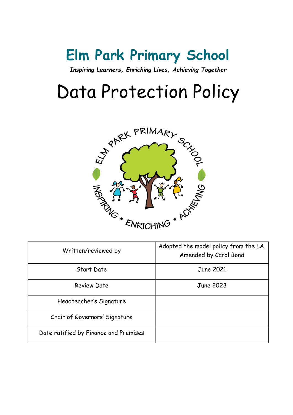## **Elm Park Primary School**

*Inspiring Learners, Enriching Lives, Achieving Together*

# Data Protection Policy



| Written/reviewed by                   | Adopted the model policy from the LA.<br>Amended by Carol Bond |
|---------------------------------------|----------------------------------------------------------------|
| Start Date                            | June 2021                                                      |
| Review Date                           | June 2023                                                      |
| Headteacher's Signature               |                                                                |
| Chair of Governors' Signature         |                                                                |
| Date ratified by Finance and Premises |                                                                |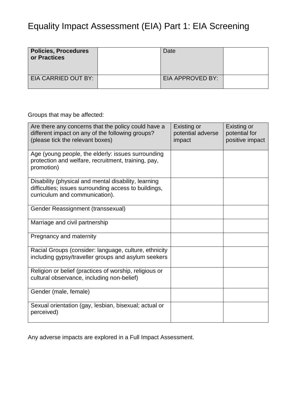## Equality Impact Assessment (EIA) Part 1: EIA Screening

| <b>Policies, Procedures</b><br>or Practices | Date             |  |
|---------------------------------------------|------------------|--|
| EIA CARRIED OUT BY:                         | EIA APPROVED BY: |  |

Groups that may be affected:

| Are there any concerns that the policy could have a<br>different impact on any of the following groups?<br>(please tick the relevant boxes)     | Existing or<br>potential adverse<br>impact | Existing or<br>potential for<br>positive impact |
|-------------------------------------------------------------------------------------------------------------------------------------------------|--------------------------------------------|-------------------------------------------------|
| Age (young people, the elderly: issues surrounding<br>protection and welfare, recruitment, training, pay,<br>promotion)                         |                                            |                                                 |
| Disability (physical and mental disability, learning<br>difficulties; issues surrounding access to buildings,<br>curriculum and communication). |                                            |                                                 |
| Gender Reassignment (transsexual)                                                                                                               |                                            |                                                 |
| Marriage and civil partnership                                                                                                                  |                                            |                                                 |
| Pregnancy and maternity                                                                                                                         |                                            |                                                 |
| Racial Groups (consider: language, culture, ethnicity<br>including gypsy/traveller groups and asylum seekers                                    |                                            |                                                 |
| Religion or belief (practices of worship, religious or<br>cultural observance, including non-belief)                                            |                                            |                                                 |
| Gender (male, female)                                                                                                                           |                                            |                                                 |
| Sexual orientation (gay, lesbian, bisexual; actual or<br>perceived)                                                                             |                                            |                                                 |

Any adverse impacts are explored in a Full Impact Assessment.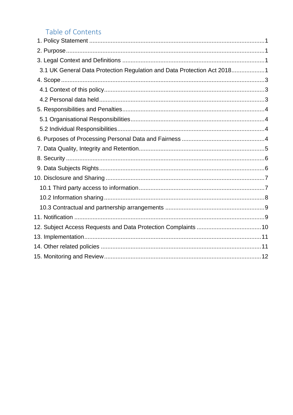## Table of Contents

| 3.1 UK General Data Protection Regulation and Data Protection Act 20181 |  |
|-------------------------------------------------------------------------|--|
|                                                                         |  |
|                                                                         |  |
|                                                                         |  |
|                                                                         |  |
|                                                                         |  |
|                                                                         |  |
|                                                                         |  |
|                                                                         |  |
|                                                                         |  |
|                                                                         |  |
|                                                                         |  |
|                                                                         |  |
|                                                                         |  |
|                                                                         |  |
|                                                                         |  |
|                                                                         |  |
|                                                                         |  |
|                                                                         |  |
|                                                                         |  |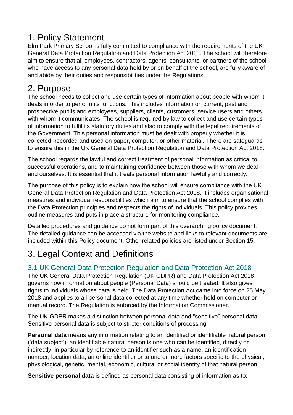## <span id="page-3-0"></span>1. Policy Statement

Elm Park Primary School is fully committed to compliance with the requirements of the UK General Data Protection Regulation and Data Protection Act 2018. The school will therefore aim to ensure that all employees, contractors, agents, consultants, or partners of the school who have access to any personal data held by or on behalf of the school, are fully aware of and abide by their duties and responsibilities under the Regulations.

## <span id="page-3-1"></span>2. Purpose

The school needs to collect and use certain types of information about people with whom it deals in order to perform its functions. This includes information on current, past and prospective pupils and employees, suppliers, clients, customers, service users and others with whom it communicates. The school is required by law to collect and use certain types of information to fulfil its statutory duties and also to comply with the legal requirements of the Government. This personal information must be dealt with properly whether it is collected, recorded and used on paper, computer, or other material. There are safeguards to ensure this in the UK General Data Protection Regulation and Data Protection Act 2018.

The school regards the lawful and correct treatment of personal information as critical to successful operations, and to maintaining confidence between those with whom we deal and ourselves. It is essential that it treats personal information lawfully and correctly.

The purpose of this policy is to explain how the school will ensure compliance with the UK General Data Protection Regulation and Data Protection Act 2018. It includes organisational measures and individual responsibilities which aim to ensure that the school complies with the Data Protection principles and respects the rights of individuals. This policy provides outline measures and puts in place a structure for monitoring compliance.

Detailed procedures and guidance do not form part of this overarching policy document. The detailed guidance can be accessed via the website and links to relevant documents are included within this Policy document. Other related policies are listed under Section 15.

## <span id="page-3-2"></span>3. Legal Context and Definitions

#### <span id="page-3-3"></span>3.1 UK General Data Protection Regulation and Data Protection Act 2018

The UK General Data Protection Regulation (UK GDPR) and Data Protection Act 2018 governs how information about people (Personal Data) should be treated. It also gives rights to individuals whose data is held. The Data Protection Act came into force on 25 May 2018 and applies to all personal data collected at any time whether held on computer or manual record. The Regulation is enforced by the Information Commissioner.

The UK GDPR makes a distinction between personal data and "sensitive" personal data. Sensitive personal data is subject to stricter conditions of processing.

**Personal data** means any information relating to an identified or identifiable natural person ('data subject'); an identifiable natural person is one who can be identified, directly or indirectly, in particular by reference to an identifier such as a name, an identification number, location data, an online identifier or to one or more factors specific to the physical, physiological, genetic, mental, economic, cultural or social identity of that natural person.

**Sensitive personal data** is defined as personal data consisting of information as to: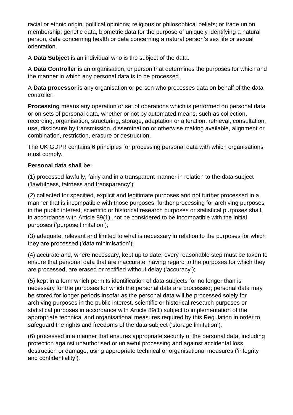racial or ethnic origin; political opinions; religious or philosophical beliefs; or trade union membership; genetic data, biometric data for the purpose of uniquely identifying a natural person, data concerning health or data concerning a natural person's sex life or sexual orientation.

A **Data Subject** is an individual who is the subject of the data.

A **Data Controller** is an organisation, or person that determines the purposes for which and the manner in which any personal data is to be processed.

A **Data processor** is any organisation or person who processes data on behalf of the data controller.

**Processing** means any operation or set of operations which is performed on personal data or on sets of personal data, whether or not by automated means, such as collection, recording, organisation, structuring, storage, adaptation or alteration, retrieval, consultation, use, disclosure by transmission, dissemination or otherwise making available, alignment or combination, restriction, erasure or destruction.

The UK GDPR contains 6 principles for processing personal data with which organisations must comply.

#### **Personal data shall be**:

(1) processed lawfully, fairly and in a transparent manner in relation to the data subject ('lawfulness, fairness and transparency');

(2) collected for specified, explicit and legitimate purposes and not further processed in a manner that is incompatible with those purposes; further processing for archiving purposes in the public interest, scientific or historical research purposes or statistical purposes shall, in accordance with Article 89(1), not be considered to be incompatible with the initial purposes ('purpose limitation');

(3) adequate, relevant and limited to what is necessary in relation to the purposes for which they are processed ('data minimisation');

(4) accurate and, where necessary, kept up to date; every reasonable step must be taken to ensure that personal data that are inaccurate, having regard to the purposes for which they are processed, are erased or rectified without delay ('accuracy');

(5) kept in a form which permits identification of data subjects for no longer than is necessary for the purposes for which the personal data are processed; personal data may be stored for longer periods insofar as the personal data will be processed solely for archiving purposes in the public interest, scientific or historical research purposes or statistical purposes in accordance with Article 89(1) subject to implementation of the appropriate technical and organisational measures required by this Regulation in order to safeguard the rights and freedoms of the data subject ('storage limitation');

(6) processed in a manner that ensures appropriate security of the personal data, including protection against unauthorised or unlawful processing and against accidental loss, destruction or damage, using appropriate technical or organisational measures ('integrity and confidentiality').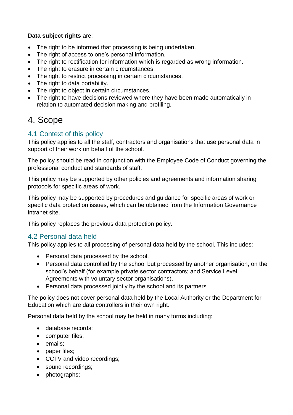#### **Data subject rights** are:

- The right to be informed that processing is being undertaken.
- The right of access to one's personal information.
- The right to rectification for information which is regarded as wrong information.
- The right to erasure in certain circumstances.
- The right to restrict processing in certain circumstances.
- The right to data portability.
- The right to object in certain circumstances.
- The right to have decisions reviewed where they have been made automatically in relation to automated decision making and profiling.

## <span id="page-5-0"></span>4. Scope

#### <span id="page-5-1"></span>4.1 Context of this policy

This policy applies to all the staff, contractors and organisations that use personal data in support of their work on behalf of the school.

The policy should be read in conjunction with the Employee Code of Conduct governing the professional conduct and standards of staff.

This policy may be supported by other policies and agreements and information sharing protocols for specific areas of work.

This policy may be supported by procedures and guidance for specific areas of work or specific data protection issues, which can be obtained from the Information Governance intranet site.

This policy replaces the previous data protection policy.

#### <span id="page-5-2"></span>4.2 Personal data held

This policy applies to all processing of personal data held by the school. This includes:

- Personal data processed by the school.
- Personal data controlled by the school but processed by another organisation, on the school's behalf (for example private sector contractors; and Service Level Agreements with voluntary sector organisations).
- Personal data processed jointly by the school and its partners

The policy does not cover personal data held by the Local Authority or the Department for Education which are data controllers in their own right.

Personal data held by the school may be held in many forms including:

- database records:
- computer files:
- emails:
- paper files;
- CCTV and video recordings;
- sound recordings;
- photographs;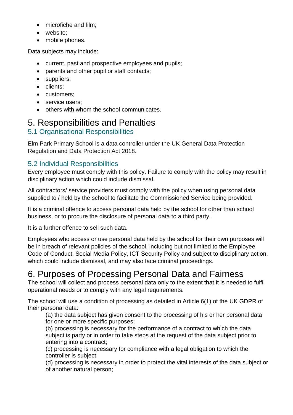- microfiche and film;
- website:
- mobile phones.

Data subjects may include:

- current, past and prospective employees and pupils;
- parents and other pupil or staff contacts;
- suppliers;
- clients;
- customers;
- service users:
- others with whom the school communicates.

## <span id="page-6-0"></span>5. Responsibilities and Penalties

#### <span id="page-6-1"></span>5.1 Organisational Responsibilities

Elm Park Primary School is a data controller under the UK General Data Protection Regulation and Data Protection Act 2018.

#### <span id="page-6-2"></span>5.2 Individual Responsibilities

Every employee must comply with this policy. Failure to comply with the policy may result in disciplinary action which could include dismissal.

All contractors/ service providers must comply with the policy when using personal data supplied to / held by the school to facilitate the Commissioned Service being provided.

It is a criminal offence to access personal data held by the school for other than school business, or to procure the disclosure of personal data to a third party.

It is a further offence to sell such data.

Employees who access or use personal data held by the school for their own purposes will be in breach of relevant policies of the school, including but not limited to the Employee Code of Conduct, Social Media Policy, ICT Security Policy and subject to disciplinary action, which could include dismissal, and may also face criminal proceedings.

## <span id="page-6-3"></span>6. Purposes of Processing Personal Data and Fairness

The school will collect and process personal data only to the extent that it is needed to fulfil operational needs or to comply with any legal requirements.

The school will use a condition of processing as detailed in Article 6(1) of the UK GDPR of their personal data:

(a) the data subject has given consent to the processing of his or her personal data for one or more specific purposes;

(b) processing is necessary for the performance of a contract to which the data subject is party or in order to take steps at the request of the data subject prior to entering into a contract;

(c) processing is necessary for compliance with a legal obligation to which the controller is subject;

(d) processing is necessary in order to protect the vital interests of the data subject or of another natural person;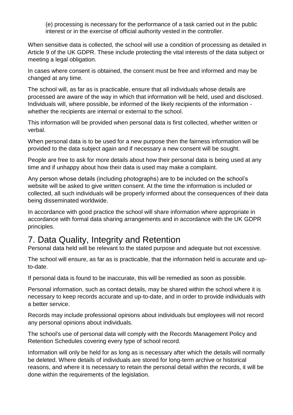(e) processing is necessary for the performance of a task carried out in the public interest or in the exercise of official authority vested in the controller.

When sensitive data is collected, the school will use a condition of processing as detailed in Article 9 of the UK GDPR. These include protecting the vital interests of the data subject or meeting a legal obligation.

In cases where consent is obtained, the consent must be free and informed and may be changed at any time.

The school will, as far as is practicable, ensure that all individuals whose details are processed are aware of the way in which that information will be held, used and disclosed. Individuals will, where possible, be informed of the likely recipients of the information whether the recipients are internal or external to the school.

This information will be provided when personal data is first collected, whether written or verbal.

When personal data is to be used for a new purpose then the fairness information will be provided to the data subject again and if necessary a new consent will be sought.

People are free to ask for more details about how their personal data is being used at any time and if unhappy about how their data is used may make a complaint.

Any person whose details (including photographs) are to be included on the school's website will be asked to give written consent. At the time the information is included or collected, all such individuals will be properly informed about the consequences of their data being disseminated worldwide.

In accordance with good practice the school will share information where appropriate in accordance with formal data sharing arrangements and in accordance with the UK GDPR principles.

## <span id="page-7-0"></span>7. Data Quality, Integrity and Retention

Personal data held will be relevant to the stated purpose and adequate but not excessive.

The school will ensure, as far as is practicable, that the information held is accurate and upto-date.

If personal data is found to be inaccurate, this will be remedied as soon as possible.

Personal information, such as contact details, may be shared within the school where it is necessary to keep records accurate and up-to-date, and in order to provide individuals with a better service.

Records may include professional opinions about individuals but employees will not record any personal opinions about individuals.

The school's use of personal data will comply with the Records Management Policy and Retention Schedules covering every type of school record.

Information will only be held for as long as is necessary after which the details will normally be deleted. Where details of individuals are stored for long-term archive or historical reasons, and where it is necessary to retain the personal detail within the records, it will be done within the requirements of the legislation.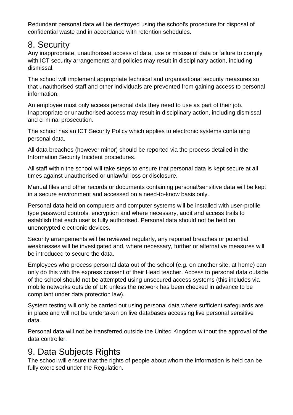Redundant personal data will be destroyed using the school's procedure for disposal of confidential waste and in accordance with retention schedules.

## <span id="page-8-0"></span>8. Security

Any inappropriate, unauthorised access of data, use or misuse of data or failure to comply with ICT security arrangements and policies may result in disciplinary action, including dismissal.

The school will implement appropriate technical and organisational security measures so that unauthorised staff and other individuals are prevented from gaining access to personal information.

An employee must only access personal data they need to use as part of their job. Inappropriate or unauthorised access may result in disciplinary action, including dismissal and criminal prosecution.

The school has an ICT Security Policy which applies to electronic systems containing personal data.

All data breaches (however minor) should be reported via the process detailed in the Information Security Incident procedures.

All staff within the school will take steps to ensure that personal data is kept secure at all times against unauthorised or unlawful loss or disclosure.

Manual files and other records or documents containing personal/sensitive data will be kept in a secure environment and accessed on a need-to-know basis only.

Personal data held on computers and computer systems will be installed with user-profile type password controls, encryption and where necessary, audit and access trails to establish that each user is fully authorised. Personal data should not be held on unencrypted electronic devices.

Security arrangements will be reviewed regularly, any reported breaches or potential weaknesses will be investigated and, where necessary, further or alternative measures will be introduced to secure the data.

Employees who process personal data out of the school (e.g. on another site, at home) can only do this with the express consent of their Head teacher. Access to personal data outside of the school should not be attempted using unsecured access systems (this includes via mobile networks outside of UK unless the network has been checked in advance to be compliant under data protection law).

System testing will only be carried out using personal data where sufficient safeguards are in place and will not be undertaken on live databases accessing live personal sensitive data.

Personal data will not be transferred outside the United Kingdom without the approval of the data controller.

## <span id="page-8-1"></span>9. Data Subjects Rights

The school will ensure that the rights of people about whom the information is held can be fully exercised under the Regulation.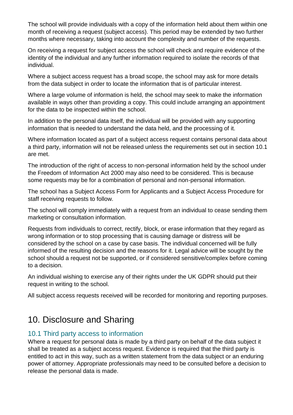The school will provide individuals with a copy of the information held about them within one month of receiving a request (subject access). This period may be extended by two further months where necessary, taking into account the complexity and number of the requests.

On receiving a request for subject access the school will check and require evidence of the identity of the individual and any further information required to isolate the records of that individual.

Where a subject access request has a broad scope, the school may ask for more details from the data subject in order to locate the information that is of particular interest.

Where a large volume of information is held, the school may seek to make the information available in ways other than providing a copy. This could include arranging an appointment for the data to be inspected within the school.

In addition to the personal data itself, the individual will be provided with any supporting information that is needed to understand the data held, and the processing of it.

Where information located as part of a subiect access request contains personal data about a third party, information will not be released unless the requirements set out in section 10.1 are met.

The introduction of the right of access to non-personal information held by the school under the Freedom of Information Act 2000 may also need to be considered. This is because some requests may be for a combination of personal and non-personal information.

The school has a Subject Access Form for Applicants and a Subject Access Procedure for staff receiving requests to follow.

The school will comply immediately with a request from an individual to cease sending them marketing or consultation information.

Requests from individuals to correct, rectify, block, or erase information that they regard as wrong information or to stop processing that is causing damage or distress will be considered by the school on a case by case basis. The individual concerned will be fully informed of the resulting decision and the reasons for it. Legal advice will be sought by the school should a request not be supported, or if considered sensitive/complex before coming to a decision.

An individual wishing to exercise any of their rights under the UK GDPR should put their request in writing to the school.

All subject access requests received will be recorded for monitoring and reporting purposes.

## <span id="page-9-0"></span>10. Disclosure and Sharing

#### <span id="page-9-1"></span>10.1 Third party access to information

Where a request for personal data is made by a third party on behalf of the data subject it shall be treated as a subject access request. Evidence is required that the third party is entitled to act in this way, such as a written statement from the data subject or an enduring power of attorney. Appropriate professionals may need to be consulted before a decision to release the personal data is made.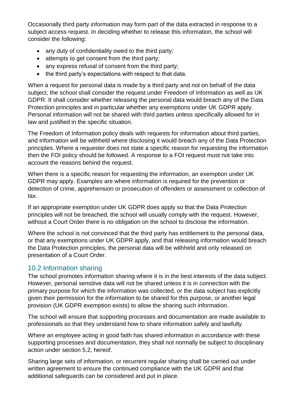Occasionally third party information may form part of the data extracted in response to a subject access request. In deciding whether to release this information, the school will consider the following:

- any duty of confidentiality owed to the third party;
- attempts to get consent from the third party;
- any express refusal of consent from the third party;
- the third party's expectations with respect to that data.

When a request for personal data is made by a third party and not on behalf of the data subject, the school shall consider the request under Freedom of Information as well as UK GDPR. It shall consider whether releasing the personal data would breach any of the Data Protection principles and in particular whether any exemptions under UK GDPR apply. Personal information will not be shared with third parties unless specifically allowed for in law and justified in the specific situation.

The Freedom of Information policy deals with requests for information about third parties, and information will be withheld where disclosing it would breach any of the Data Protection principles. Where a requester does not state a specific reason for requesting the information then the FOI policy should be followed. A response to a FOI request must not take into account the reasons behind the request.

When there is a specific reason for requesting the information, an exemption under UK GDPR may apply. Examples are where information is required for the prevention or detection of crime, apprehension or prosecution of offenders or assessment or collection of tax.

If an appropriate exemption under UK GDPR does apply so that the Data Protection principles will not be breached, the school will usually comply with the request. However, without a Court Order there is no obligation on the school to disclose the information.

Where the school is not convinced that the third party has entitlement to the personal data, or that any exemptions under UK GDPR apply, and that releasing information would breach the Data Protection principles, the personal data will be withheld and only released on presentation of a Court Order.

#### <span id="page-10-0"></span>10.2 Information sharing

The school promotes information sharing where it is in the best interests of the data subject. However, personal sensitive data will not be shared unless it is in connection with the primary purpose for which the information was collected, or the data subject has explicitly given their permission for the information to be shared for this purpose, or another legal provision (UK GDPR exemption exists) to allow the sharing such information.

The school will ensure that supporting processes and documentation are made available to professionals so that they understand how to share information safely and lawfully.

Where an employee acting in good faith has shared information in accordance with these supporting processes and documentation, they shall not normally be subject to disciplinary action under section 5.2, hereof.

Sharing large sets of information, or recurrent regular sharing shall be carried out under written agreement to ensure the continued compliance with the UK GDPR and that additional safeguards can be considered and put in place.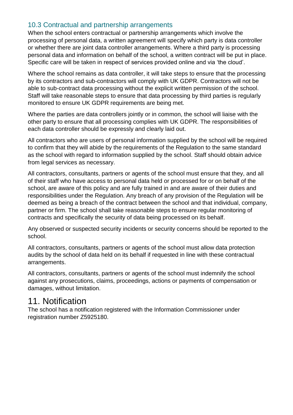#### <span id="page-11-0"></span>10.3 Contractual and partnership arrangements

When the school enters contractual or partnership arrangements which involve the processing of personal data, a written agreement will specify which party is data controller or whether there are joint data controller arrangements. Where a third party is processing personal data and information on behalf of the school, a written contract will be put in place. Specific care will be taken in respect of services provided online and via 'the cloud'.

Where the school remains as data controller, it will take steps to ensure that the processing by its contractors and sub-contractors will comply with UK GDPR. Contractors will not be able to sub-contract data processing without the explicit written permission of the school. Staff will take reasonable steps to ensure that data processing by third parties is regularly monitored to ensure UK GDPR requirements are being met.

Where the parties are data controllers jointly or in common, the school will liaise with the other party to ensure that all processing complies with UK GDPR. The responsibilities of each data controller should be expressly and clearly laid out.

All contractors who are users of personal information supplied by the school will be required to confirm that they will abide by the requirements of the Regulation to the same standard as the school with regard to information supplied by the school. Staff should obtain advice from legal services as necessary.

All contractors, consultants, partners or agents of the school must ensure that they, and all of their staff who have access to personal data held or processed for or on behalf of the school, are aware of this policy and are fully trained in and are aware of their duties and responsibilities under the Regulation. Any breach of any provision of the Regulation will be deemed as being a breach of the contract between the school and that individual, company, partner or firm. The school shall take reasonable steps to ensure regular monitoring of contracts and specifically the security of data being processed on its behalf.

Any observed or suspected security incidents or security concerns should be reported to the school.

All contractors, consultants, partners or agents of the school must allow data protection audits by the school of data held on its behalf if requested in line with these contractual arrangements.

All contractors, consultants, partners or agents of the school must indemnify the school against any prosecutions, claims, proceedings, actions or payments of compensation or damages, without limitation.

### <span id="page-11-1"></span>11. Notification

The school has a notification registered with the Information Commissioner under registration number Z5925180.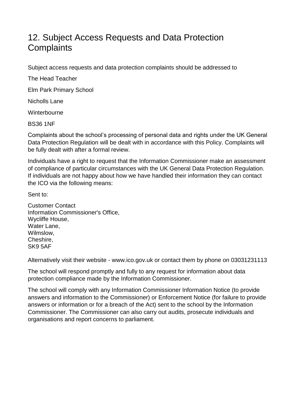## <span id="page-12-0"></span>12. Subject Access Requests and Data Protection **Complaints**

Subject access requests and data protection complaints should be addressed to

The Head Teacher

Elm Park Primary School

Nicholls Lane

**Winterbourne** 

BS36 1NF

Complaints about the school's processing of personal data and rights under the UK General Data Protection Regulation will be dealt with in accordance with this Policy. Complaints will be fully dealt with after a formal review.

Individuals have a right to request that the Information Commissioner make an assessment of compliance of particular circumstances with the UK General Data Protection Regulation. If individuals are not happy about how we have handled their information they can contact the ICO via the following means:

Sent to:

Customer Contact Information Commissioner's Office, Wycliffe House, Water Lane, Wilmslow, Cheshire, SK9 5AF

Alternatively visit their website - www.ico.gov.uk or contact them by phone on 03031231113

The school will respond promptly and fully to any request for information about data protection compliance made by the Information Commissioner.

The school will comply with any Information Commissioner Information Notice (to provide answers and information to the Commissioner) or Enforcement Notice (for failure to provide answers or information or for a breach of the Act) sent to the school by the Information Commissioner. The Commissioner can also carry out audits, prosecute individuals and organisations and report concerns to parliament.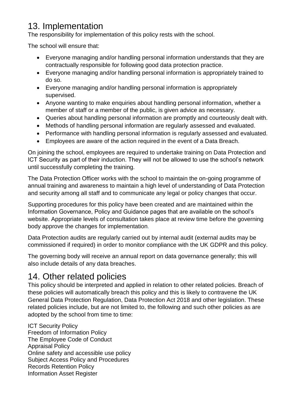## <span id="page-13-0"></span>13. Implementation

The responsibility for implementation of this policy rests with the school.

The school will ensure that:

- Everyone managing and/or handling personal information understands that they are contractually responsible for following good data protection practice.
- Everyone managing and/or handling personal information is appropriately trained to do so.
- Everyone managing and/or handling personal information is appropriately supervised.
- Anyone wanting to make enquiries about handling personal information, whether a member of staff or a member of the public, is given advice as necessary.
- Queries about handling personal information are promptly and courteously dealt with.
- Methods of handling personal information are regularly assessed and evaluated.
- Performance with handling personal information is regularly assessed and evaluated.
- Employees are aware of the action required in the event of a Data Breach.

On joining the school, employees are required to undertake training on Data Protection and ICT Security as part of their induction. They will not be allowed to use the school's network until successfully completing the training.

The Data Protection Officer works with the school to maintain the on-going programme of annual training and awareness to maintain a high level of understanding of Data Protection and security among all staff and to communicate any legal or policy changes that occur.

Supporting procedures for this policy have been created and are maintained within the Information Governance, Policy and Guidance pages that are available on the school's website. Appropriate levels of consultation takes place at review time before the governing body approve the changes for implementation*.* 

Data Protection audits are regularly carried out by internal audit (external audits may be commissioned if required) in order to monitor compliance with the UK GDPR and this policy.

The governing body will receive an annual report on data governance generally; this will also include details of any data breaches.

## <span id="page-13-1"></span>14. Other related policies

This policy should be interpreted and applied in relation to other related policies. Breach of these policies will automatically breach this policy and this is likely to contravene the UK General Data Protection Regulation, Data Protection Act 2018 and other legislation. These related policies include, but are not limited to, the following and such other policies as are adopted by the school from time to time:

ICT Security Policy Freedom of Information Policy The Employee Code of Conduct Appraisal Policy Online safety and accessible use policy Subject Access Policy and Procedures Records Retention Policy Information Asset Register